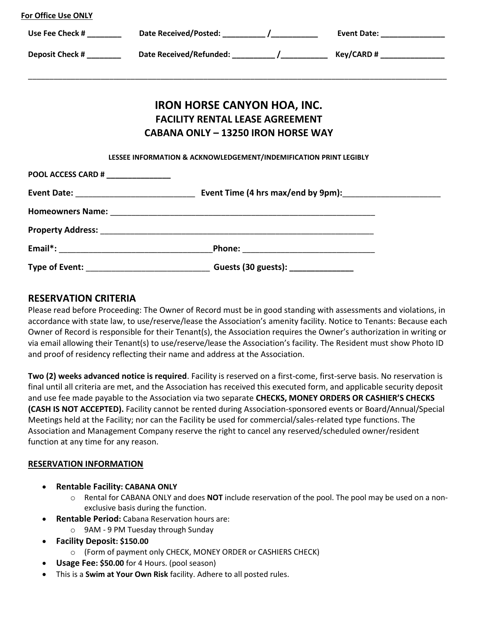| Use Fee Check # _________                                                              |  |                                             |                                                                                                            |  |
|----------------------------------------------------------------------------------------|--|---------------------------------------------|------------------------------------------------------------------------------------------------------------|--|
|                                                                                        |  |                                             | Deposit Check # __________  Date Received/Refunded: __________/ ________________ Key/CARD # ______________ |  |
|                                                                                        |  |                                             |                                                                                                            |  |
| <b>IRON HORSE CANYON HOA, INC.</b>                                                     |  |                                             |                                                                                                            |  |
| <b>FACILITY RENTAL LEASE AGREEMENT</b>                                                 |  |                                             |                                                                                                            |  |
| <b>CABANA ONLY - 13250 IRON HORSE WAY</b>                                              |  |                                             |                                                                                                            |  |
| LESSEE INFORMATION & ACKNOWLEDGEMENT/INDEMIFICATION PRINT LEGIBLY                      |  |                                             |                                                                                                            |  |
| POOL ACCESS CARD # _______________                                                     |  |                                             |                                                                                                            |  |
|                                                                                        |  |                                             |                                                                                                            |  |
|                                                                                        |  |                                             |                                                                                                            |  |
|                                                                                        |  |                                             |                                                                                                            |  |
|                                                                                        |  | _Phone: ___________________________________ |                                                                                                            |  |
| Type of Event: ___________________________________Guests (30 guests): ________________ |  |                                             |                                                                                                            |  |

## **RESERVATION CRITERIA**

**For Office Use ONLY**

Please read before Proceeding: The Owner of Record must be in good standing with assessments and violations, in accordance with state law, to use/reserve/lease the Association's amenity facility. Notice to Tenants: Because each Owner of Record is responsible for their Tenant(s), the Association requires the Owner's authorization in writing or via email allowing their Tenant(s) to use/reserve/lease the Association's facility. The Resident must show Photo ID and proof of residency reflecting their name and address at the Association.

**Two (2) weeks advanced notice is required**. Facility is reserved on a first-come, first-serve basis. No reservation is final until all criteria are met, and the Association has received this executed form, and applicable security deposit and use fee made payable to the Association via two separate **CHECKS, MONEY ORDERS OR CASHIER'S CHECKS (CASH IS NOT ACCEPTED).** Facility cannot be rented during Association-sponsored events or Board/Annual/Special Meetings held at the Facility; nor can the Facility be used for commercial/sales-related type functions. The Association and Management Company reserve the right to cancel any reserved/scheduled owner/resident function at any time for any reason.

## **RESERVATION INFORMATION**

- **Rentable Facility: CABANA ONLY** 
	- o Rental for CABANA ONLY and does **NOT** include reservation of the pool. The pool may be used on a nonexclusive basis during the function.
- **Rentable Period:** Cabana Reservation hours are:
	- o 9AM 9 PM Tuesday through Sunday
- **Facility Deposit: \$150.00** 
	- o (Form of payment only CHECK, MONEY ORDER or CASHIERS CHECK)
- **Usage Fee: \$50.00** for 4 Hours. (pool season)
- This is a **Swim at Your Own Risk** facility. Adhere to all posted rules.